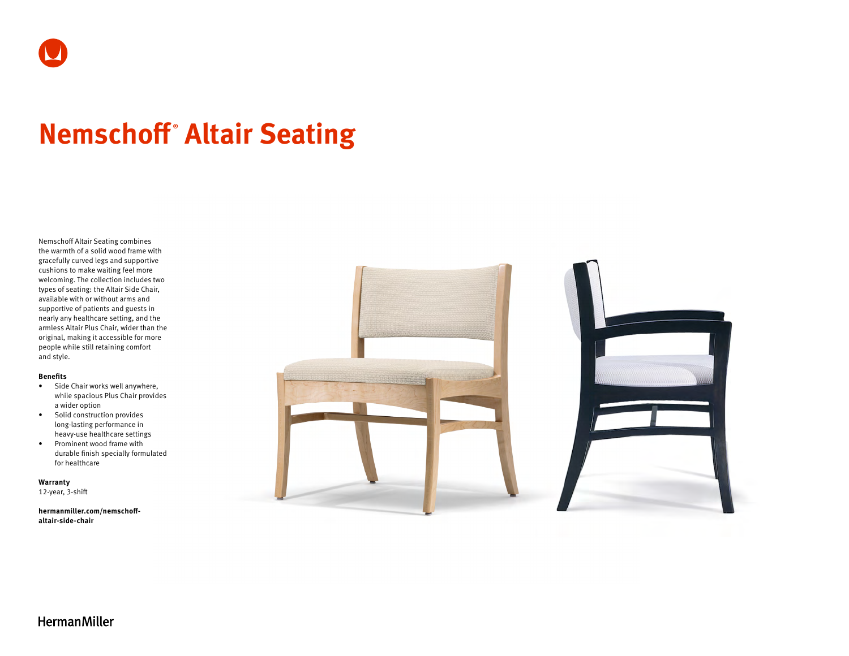

# **Nemschoff ® Altair Seating**

Nemschoff Altair Seating combines the warmth of a solid wood frame with gracefully curved legs and supportive cushions to make waiting feel more welcoming. The collection includes two types of seating: the Altair Side Chair, available with or without arms and supportive of patients and guests in nearly any healthcare setting, and the armless Altair Plus Chair, wider than the original, making it accessible for more people while still retaining comfort and style.

#### **Benefits**

- Side Chair works well anywhere, while spacious Plus Chair provides a wider option
- Solid construction provides long-lasting performance in heavy-use healthcare settings
- Prominent wood frame with durable finish specially formulated for healthcare

**Warranty**  12-year, 3-shift

**hermanmiller.com/nemschoffaltair-side-chair**